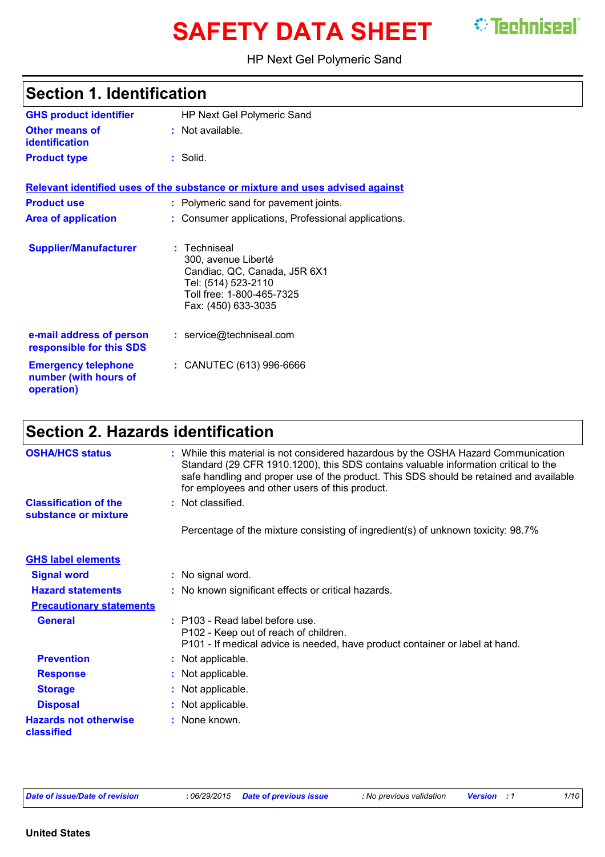# **SAFETY DATA SHEET** *C* Techniseal

HP Next Gel Polymeric Sand

| <b>Section 1. Identification</b>                                  |                                                                                                                                                |  |
|-------------------------------------------------------------------|------------------------------------------------------------------------------------------------------------------------------------------------|--|
| <b>GHS product identifier</b>                                     | HP Next Gel Polymeric Sand                                                                                                                     |  |
| <b>Other means of</b><br>identification                           | : Not available.                                                                                                                               |  |
| <b>Product type</b>                                               | : Solid.                                                                                                                                       |  |
|                                                                   | Relevant identified uses of the substance or mixture and uses advised against                                                                  |  |
| <b>Product use</b>                                                | : Polymeric sand for pavement joints.                                                                                                          |  |
| <b>Area of application</b>                                        | : Consumer applications, Professional applications.                                                                                            |  |
| <b>Supplier/Manufacturer</b>                                      | : Techniseal<br>300, avenue Liberté<br>Candiac, QC, Canada, J5R 6X1<br>Tel: (514) 523-2110<br>Toll free: 1-800-465-7325<br>Fax: (450) 633-3035 |  |
| e-mail address of person<br>responsible for this SDS              | : service@techniseal.com                                                                                                                       |  |
| <b>Emergency telephone</b><br>number (with hours of<br>operation) | : CANUTEC (613) 996-6666                                                                                                                       |  |

## **Section 2. Hazards identification**

| <b>OSHA/HCS status</b>                               | : While this material is not considered hazardous by the OSHA Hazard Communication<br>Standard (29 CFR 1910.1200), this SDS contains valuable information critical to the<br>safe handling and proper use of the product. This SDS should be retained and available<br>for employees and other users of this product. |
|------------------------------------------------------|-----------------------------------------------------------------------------------------------------------------------------------------------------------------------------------------------------------------------------------------------------------------------------------------------------------------------|
| <b>Classification of the</b><br>substance or mixture | : Not classified.                                                                                                                                                                                                                                                                                                     |
|                                                      | Percentage of the mixture consisting of ingredient(s) of unknown toxicity: 98.7%                                                                                                                                                                                                                                      |
| <b>GHS label elements</b>                            |                                                                                                                                                                                                                                                                                                                       |
| <b>Signal word</b>                                   | : No signal word.                                                                                                                                                                                                                                                                                                     |
| <b>Hazard statements</b>                             | : No known significant effects or critical hazards.                                                                                                                                                                                                                                                                   |
| <b>Precautionary statements</b>                      |                                                                                                                                                                                                                                                                                                                       |
| <b>General</b>                                       | $:$ P103 - Read label before use.<br>P102 - Keep out of reach of children.<br>P101 - If medical advice is needed, have product container or label at hand.                                                                                                                                                            |
| <b>Prevention</b>                                    | : Not applicable.                                                                                                                                                                                                                                                                                                     |
| <b>Response</b>                                      | : Not applicable.                                                                                                                                                                                                                                                                                                     |
| <b>Storage</b>                                       | : Not applicable.                                                                                                                                                                                                                                                                                                     |
| <b>Disposal</b>                                      | : Not applicable.                                                                                                                                                                                                                                                                                                     |
| <b>Hazards not otherwise</b><br>classified           | : None known.                                                                                                                                                                                                                                                                                                         |
|                                                      |                                                                                                                                                                                                                                                                                                                       |

*Date of issue/Date of revision* **:** *06/29/2015 Date of previous issue : No previous validation Version : 1 1/10*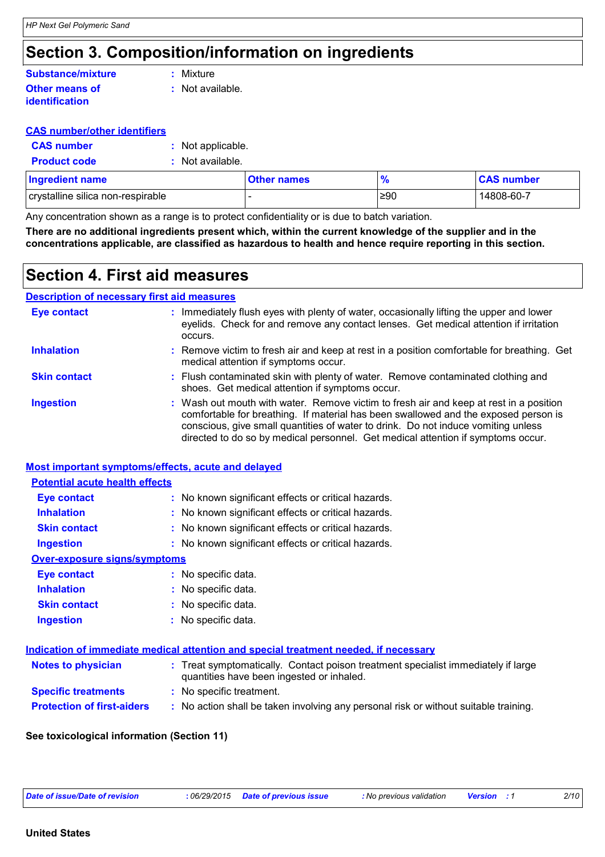### **Section 3. Composition/information on ingredients**

#### **Other means of identification :** Not available. **Substance/mixture :** Mixture

#### **CAS number/other identifiers**

| <b>CAS number</b> | : Not applicable. |  |
|-------------------|-------------------|--|
|-------------------|-------------------|--|

**Product code :** Not available.

| <b>Ingredient name</b>            | <b>Other names</b> | $\frac{9}{6}$ | <b>CAS number</b> |
|-----------------------------------|--------------------|---------------|-------------------|
| crystalline silica non-respirable |                    | ≥90           | 14808-60-7        |

Any concentration shown as a range is to protect confidentiality or is due to batch variation.

**There are no additional ingredients present which, within the current knowledge of the supplier and in the concentrations applicable, are classified as hazardous to health and hence require reporting in this section.**

### **Section 4. First aid measures**

#### **Description of necessary first aid measures**

| <b>Eye contact</b>  | : Immediately flush eyes with plenty of water, occasionally lifting the upper and lower<br>eyelids. Check for and remove any contact lenses. Get medical attention if irritation<br>occurs.                                                                                                                                                            |  |
|---------------------|--------------------------------------------------------------------------------------------------------------------------------------------------------------------------------------------------------------------------------------------------------------------------------------------------------------------------------------------------------|--|
| <b>Inhalation</b>   | : Remove victim to fresh air and keep at rest in a position comfortable for breathing. Get<br>medical attention if symptoms occur.                                                                                                                                                                                                                     |  |
| <b>Skin contact</b> | : Flush contaminated skin with plenty of water. Remove contaminated clothing and<br>shoes. Get medical attention if symptoms occur.                                                                                                                                                                                                                    |  |
| <b>Ingestion</b>    | : Wash out mouth with water. Remove victim to fresh air and keep at rest in a position<br>comfortable for breathing. If material has been swallowed and the exposed person is<br>conscious, give small quantities of water to drink. Do not induce vomiting unless<br>directed to do so by medical personnel. Get medical attention if symptoms occur. |  |

#### **Most important symptoms/effects, acute and delayed**

#### **Potential acute health effects**

| <b>Eye contact</b>           | : No known significant effects or critical hazards. |
|------------------------------|-----------------------------------------------------|
| <b>Inhalation</b>            | : No known significant effects or critical hazards. |
| <b>Skin contact</b>          | : No known significant effects or critical hazards. |
| <b>Ingestion</b>             | : No known significant effects or critical hazards. |
| Over-exposure signs/symptoms |                                                     |
| <b>Eye contact</b>           | : No specific data.                                 |
| <b>Inhalation</b>            | : No specific data.                                 |
| <b>Skin contact</b>          | : No specific data.                                 |
|                              |                                                     |

| <b>Ingestion</b> | : No specific data. |
|------------------|---------------------|
|------------------|---------------------|

| Indication of immediate medical attention and special treatment needed, if necessary |  |
|--------------------------------------------------------------------------------------|--|
|                                                                                      |  |

| <b>Notes to physician</b>         | : Treat symptomatically. Contact poison treatment specialist immediately if large<br>quantities have been ingested or inhaled. |
|-----------------------------------|--------------------------------------------------------------------------------------------------------------------------------|
| <b>Specific treatments</b>        | : No specific treatment.                                                                                                       |
| <b>Protection of first-aiders</b> | No action shall be taken involving any personal risk or without suitable training.                                             |

#### **See toxicological information (Section 11)**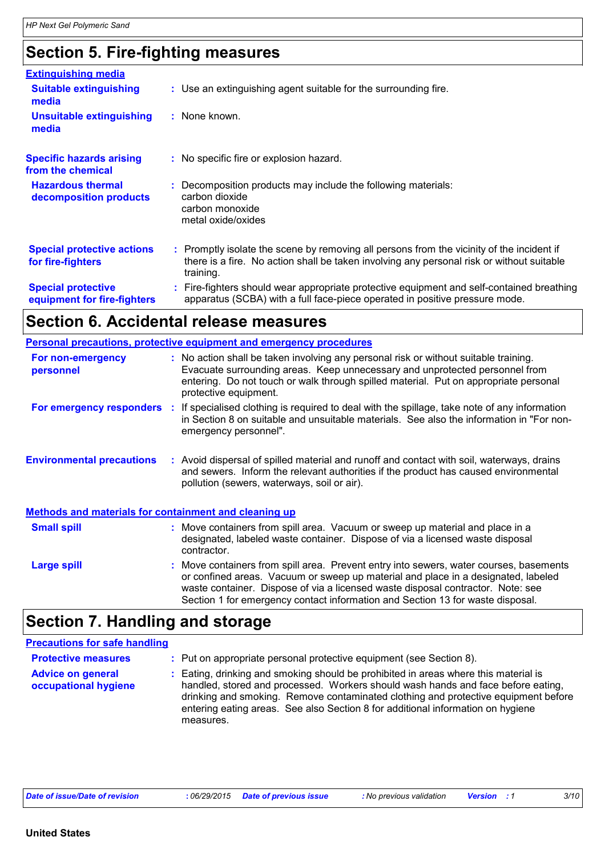### **Section 5. Fire-fighting measures**

| <b>Extinguishing media</b>                               |                                                                                                                                                                                                     |
|----------------------------------------------------------|-----------------------------------------------------------------------------------------------------------------------------------------------------------------------------------------------------|
| <b>Suitable extinguishing</b><br>media                   | : Use an extinguishing agent suitable for the surrounding fire.                                                                                                                                     |
| <b>Unsuitable extinguishing</b><br>media                 | $:$ None known.                                                                                                                                                                                     |
| <b>Specific hazards arising</b><br>from the chemical     | : No specific fire or explosion hazard.                                                                                                                                                             |
| <b>Hazardous thermal</b><br>decomposition products       | Decomposition products may include the following materials:<br>carbon dioxide<br>carbon monoxide<br>metal oxide/oxides                                                                              |
| <b>Special protective actions</b><br>for fire-fighters   | : Promptly isolate the scene by removing all persons from the vicinity of the incident if<br>there is a fire. No action shall be taken involving any personal risk or without suitable<br>training. |
| <b>Special protective</b><br>equipment for fire-fighters | Fire-fighters should wear appropriate protective equipment and self-contained breathing<br>apparatus (SCBA) with a full face-piece operated in positive pressure mode.                              |

### **Section 6. Accidental release measures**

|                                                              | Personal precautions, protective equipment and emergency procedures                                                                                                                                                                                                                                                                              |
|--------------------------------------------------------------|--------------------------------------------------------------------------------------------------------------------------------------------------------------------------------------------------------------------------------------------------------------------------------------------------------------------------------------------------|
| For non-emergency<br>personnel                               | : No action shall be taken involving any personal risk or without suitable training.<br>Evacuate surrounding areas. Keep unnecessary and unprotected personnel from<br>entering. Do not touch or walk through spilled material. Put on appropriate personal<br>protective equipment.                                                             |
|                                                              | For emergency responders : If specialised clothing is required to deal with the spillage, take note of any information<br>in Section 8 on suitable and unsuitable materials. See also the information in "For non-<br>emergency personnel".                                                                                                      |
| <b>Environmental precautions</b>                             | : Avoid dispersal of spilled material and runoff and contact with soil, waterways, drains<br>and sewers. Inform the relevant authorities if the product has caused environmental<br>pollution (sewers, waterways, soil or air).                                                                                                                  |
| <b>Methods and materials for containment and cleaning up</b> |                                                                                                                                                                                                                                                                                                                                                  |
| <b>Small spill</b>                                           | : Move containers from spill area. Vacuum or sweep up material and place in a<br>designated, labeled waste container. Dispose of via a licensed waste disposal<br>contractor.                                                                                                                                                                    |
| Large spill                                                  | : Move containers from spill area. Prevent entry into sewers, water courses, basements<br>or confined areas. Vacuum or sweep up material and place in a designated, labeled<br>waste container. Dispose of via a licensed waste disposal contractor. Note: see<br>Section 1 for emergency contact information and Section 13 for waste disposal. |

## **Section 7. Handling and storage**

| <b>Precautions for safe handling</b>             |                                                                                                                                                                                                                                                                                                                                                               |
|--------------------------------------------------|---------------------------------------------------------------------------------------------------------------------------------------------------------------------------------------------------------------------------------------------------------------------------------------------------------------------------------------------------------------|
| <b>Protective measures</b>                       | : Put on appropriate personal protective equipment (see Section 8).                                                                                                                                                                                                                                                                                           |
| <b>Advice on general</b><br>occupational hygiene | : Eating, drinking and smoking should be prohibited in areas where this material is<br>handled, stored and processed. Workers should wash hands and face before eating,<br>drinking and smoking. Remove contaminated clothing and protective equipment before<br>entering eating areas. See also Section 8 for additional information on hygiene<br>measures. |

| Date of issue/Date of revision | 06/29/2015 | Date of previous issue | : No previous validation | <b>Version</b> | 3/10 |
|--------------------------------|------------|------------------------|--------------------------|----------------|------|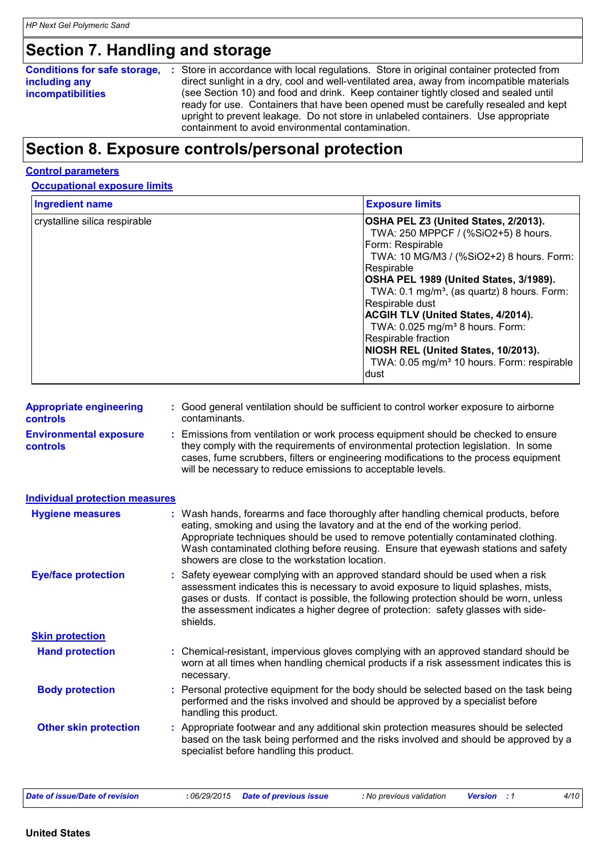### **Section 7. Handling and storage**

#### **Conditions for safe storage, including any incompatibilities**

Store in accordance with local regulations. Store in original container protected from **:** direct sunlight in a dry, cool and well-ventilated area, away from incompatible materials (see Section 10) and food and drink. Keep container tightly closed and sealed until ready for use. Containers that have been opened must be carefully resealed and kept upright to prevent leakage. Do not store in unlabeled containers. Use appropriate containment to avoid environmental contamination.

### **Section 8. Exposure controls/personal protection**

#### **Control parameters**

#### **Occupational exposure limits**

| <b>Ingredient name</b>        | <b>Exposure limits</b>                                  |
|-------------------------------|---------------------------------------------------------|
| crystalline silica respirable | OSHA PEL Z3 (United States, 2/2013).                    |
|                               | TWA: 250 MPPCF / (%SiO2+5) 8 hours.                     |
|                               | Form: Respirable                                        |
|                               | TWA: 10 MG/M3 / (%SiO2+2) 8 hours. Form:                |
|                               | Respirable                                              |
|                               | OSHA PEL 1989 (United States, 3/1989).                  |
|                               | TWA: 0.1 mg/m <sup>3</sup> , (as quartz) 8 hours. Form: |
|                               | Respirable dust                                         |
|                               | <b>ACGIH TLV (United States, 4/2014).</b>               |
|                               | TWA: 0.025 mg/m <sup>3</sup> 8 hours. Form:             |
|                               | Respirable fraction                                     |
|                               | NIOSH REL (United States, 10/2013).                     |
|                               | TWA: 0.05 mg/m <sup>3</sup> 10 hours. Form: respirable  |
|                               | Idust                                                   |

| <b>Appropriate engineering</b> | : Good general ventilation should be sufficient to control worker exposure to airborne |
|--------------------------------|----------------------------------------------------------------------------------------|
| controls                       | contaminants.                                                                          |
|                                |                                                                                        |

**Environmental exposure controls**

**:** Emissions from ventilation or work process equipment should be checked to ensure they comply with the requirements of environmental protection legislation. In some cases, fume scrubbers, filters or engineering modifications to the process equipment will be necessary to reduce emissions to acceptable levels.

| <b>Individual protection measures</b> |                                                                                                                                                                                                                                                                                                                                                                                                   |
|---------------------------------------|---------------------------------------------------------------------------------------------------------------------------------------------------------------------------------------------------------------------------------------------------------------------------------------------------------------------------------------------------------------------------------------------------|
| <b>Hygiene measures</b>               | : Wash hands, forearms and face thoroughly after handling chemical products, before<br>eating, smoking and using the lavatory and at the end of the working period.<br>Appropriate techniques should be used to remove potentially contaminated clothing.<br>Wash contaminated clothing before reusing. Ensure that eyewash stations and safety<br>showers are close to the workstation location. |
| <b>Eye/face protection</b>            | : Safety eyewear complying with an approved standard should be used when a risk<br>assessment indicates this is necessary to avoid exposure to liquid splashes, mists,<br>gases or dusts. If contact is possible, the following protection should be worn, unless<br>the assessment indicates a higher degree of protection: safety glasses with side-<br>shields.                                |
| <b>Skin protection</b>                |                                                                                                                                                                                                                                                                                                                                                                                                   |
| <b>Hand protection</b>                | : Chemical-resistant, impervious gloves complying with an approved standard should be<br>worn at all times when handling chemical products if a risk assessment indicates this is<br>necessary.                                                                                                                                                                                                   |
| <b>Body protection</b>                | : Personal protective equipment for the body should be selected based on the task being<br>performed and the risks involved and should be approved by a specialist before<br>handling this product.                                                                                                                                                                                               |
| <b>Other skin protection</b>          | : Appropriate footwear and any additional skin protection measures should be selected<br>based on the task being performed and the risks involved and should be approved by a<br>specialist before handling this product.                                                                                                                                                                         |
| <b>Date of issue/Date of revision</b> | :06/29/2015<br><b>Date of previous issue</b><br>: No previous validation<br>4/10<br><b>Version</b> : 1                                                                                                                                                                                                                                                                                            |

**United States**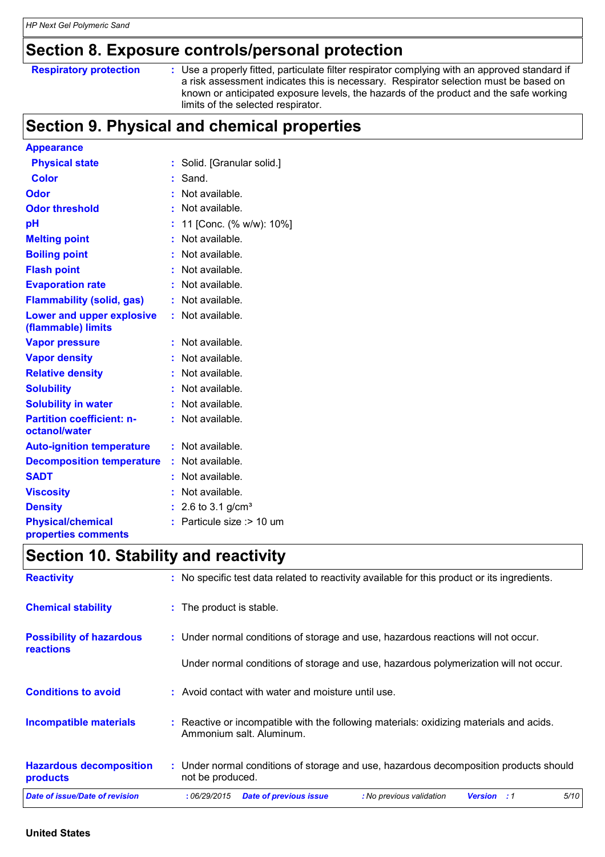### **Section 8. Exposure controls/personal protection**

| <b>Respiratory protection</b> |
|-------------------------------|
|-------------------------------|

**Respiratory protection** : Use a properly fitted, particulate filter respirator complying with an approved standard if a risk assessment indicates this is necessary. Respirator selection must be based on known or anticipated exposure levels, the hazards of the product and the safe working limits of the selected respirator.

### **Section 9. Physical and chemical properties**

| <b>Appearance</b>                                 |    |                          |
|---------------------------------------------------|----|--------------------------|
| <b>Physical state</b>                             | t. | Solid. [Granular solid.] |
| <b>Color</b>                                      | t  | Sand.                    |
| Odor                                              | t  | Not available.           |
| <b>Odor threshold</b>                             |    | Not available.           |
| рH                                                | t  | 11 [Conc. (% w/w): 10%]  |
| <b>Melting point</b>                              |    | Not available.           |
| <b>Boiling point</b>                              |    | Not available.           |
| <b>Flash point</b>                                |    | Not available.           |
| <b>Evaporation rate</b>                           |    | Not available.           |
| <b>Flammability (solid, gas)</b>                  | t  | Not available.           |
| Lower and upper explosive<br>(flammable) limits   | t. | Not available.           |
| <b>Vapor pressure</b>                             | t  | Not available.           |
| <b>Vapor density</b>                              |    | Not available.           |
| <b>Relative density</b>                           | t  | Not available.           |
| <b>Solubility</b>                                 |    | Not available.           |
| <b>Solubility in water</b>                        | ÷  | Not available.           |
| <b>Partition coefficient: n-</b><br>octanol/water |    | Not available.           |
| <b>Auto-ignition temperature</b>                  | ÷  | Not available.           |
| <b>Decomposition temperature</b>                  | t. | Not available.           |
| <b>SADT</b>                                       |    | Not available.           |
| <b>Viscosity</b>                                  |    | Not available.           |
| <b>Density</b>                                    |    | 2.6 to 3.1 $g/cm^{3}$    |
| <b>Physical/chemical</b>                          | ÷  | Particule size :> 10 um  |
| properties comments                               |    |                          |

### **Section 10. Stability and reactivity**

| <b>Reactivity</b>                                   | : No specific test data related to reactivity available for this product or its ingredients.                        |
|-----------------------------------------------------|---------------------------------------------------------------------------------------------------------------------|
| <b>Chemical stability</b>                           | : The product is stable.                                                                                            |
| <b>Possibility of hazardous</b><br><b>reactions</b> | : Under normal conditions of storage and use, hazardous reactions will not occur.                                   |
|                                                     | Under normal conditions of storage and use, hazardous polymerization will not occur.                                |
| <b>Conditions to avoid</b>                          | : Avoid contact with water and moisture until use.                                                                  |
| <b>Incompatible materials</b>                       | : Reactive or incompatible with the following materials: oxidizing materials and acids.<br>Ammonium salt. Aluminum. |
| <b>Hazardous decomposition</b><br>products          | : Under normal conditions of storage and use, hazardous decomposition products should<br>not be produced.           |
| Date of issue/Date of revision                      | 5/10<br>:06/29/2015<br><b>Date of previous issue</b><br>: No previous validation<br><b>Version</b> : 1              |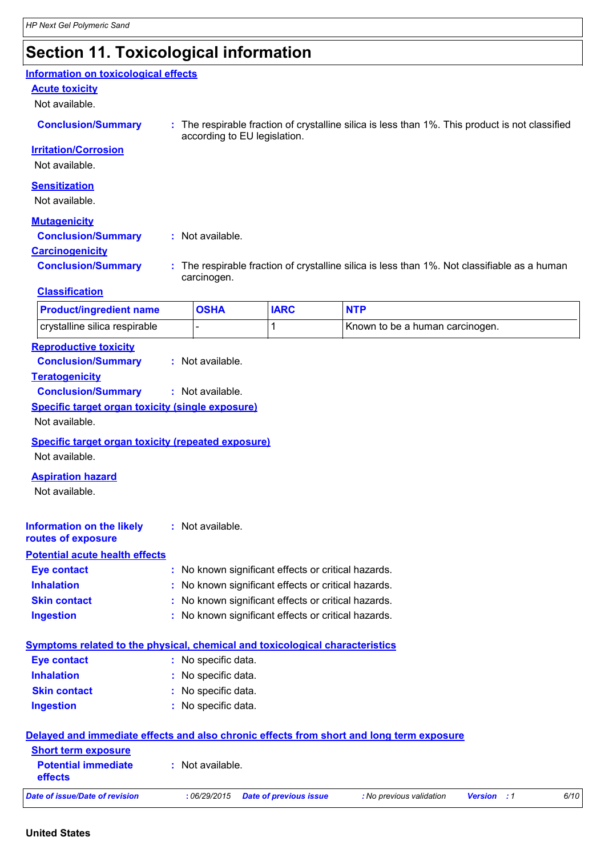### **Section 11. Toxicological information**

**Information on toxicological effects**

#### **Acute toxicity**

Not available.

| <b>Conclusion/Summary</b>   | : The respirable fraction of crystalline silica is less than 1%. This product is not classified<br>according to EU legislation. |
|-----------------------------|---------------------------------------------------------------------------------------------------------------------------------|
| <b>Irritation/Corrosion</b> |                                                                                                                                 |
| Not available.              |                                                                                                                                 |
| <b>Sensitization</b>        |                                                                                                                                 |

**Sensitization** Not available.

#### **Mutagenicity**

**Conclusion/Summary :** Not available.

**Carcinogenicity**

**Conclusion/Summary :** The respirable fraction of crystalline silica is less than 1%. Not classifiable as a human carcinogen.

#### **Classification**

| <b>Product/ingredient name</b> | <b>OSHA</b> | <b>IARC</b> | <b>NTP</b>                       |
|--------------------------------|-------------|-------------|----------------------------------|
| crystalline silica respirable  |             |             | IKnown to be a human carcinogen. |

#### **Reproductive toxicity**

**Conclusion/Summary :** Not available.

#### **Teratogenicity**

**Conclusion/Summary :** Not available.

#### **Specific target organ toxicity (single exposure)**

Not available.

#### **Specific target organ toxicity (repeated exposure)**

Not available.

#### **Aspiration hazard**

Not available.

| <b>Information on the likely</b><br>routes of exposure | : Not available.                                    |
|--------------------------------------------------------|-----------------------------------------------------|
| <b>Potential acute health effects</b>                  |                                                     |
| <b>Eye contact</b>                                     | : No known significant effects or critical hazards. |
| <b>Inhalation</b>                                      | : No known significant effects or critical hazards. |
| <b>Skin contact</b>                                    | : No known significant effects or critical hazards. |
| <b>Ingestion</b>                                       | : No known significant effects or critical hazards. |

| Symptoms related to the physical, chemical and toxicological characteristics_ |  |
|-------------------------------------------------------------------------------|--|

| <b>Eye contact</b>  | : No specific data. |
|---------------------|---------------------|
| <b>Inhalation</b>   | : No specific data. |
| <b>Skin contact</b> | : No specific data. |
| <b>Ingestion</b>    | : No specific data. |

| Delayed and immediate effects and also chronic effects from short and long term exposure |                  |                        |                          |                    |      |
|------------------------------------------------------------------------------------------|------------------|------------------------|--------------------------|--------------------|------|
| <b>Short term exposure</b>                                                               |                  |                        |                          |                    |      |
| <b>Potential immediate</b><br><b>effects</b>                                             | : Not available. |                        |                          |                    |      |
| Date of issue/Date of revision                                                           | :06/29/2015      | Date of previous issue | : No previous validation | <b>Version</b> : 1 | 6/10 |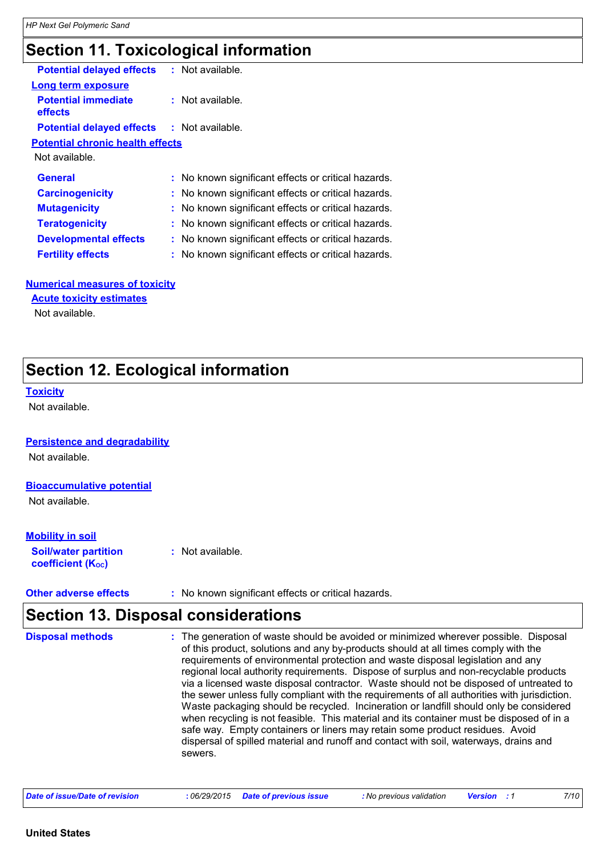## **Section 11. Toxicological information**

| <b>Potential delayed effects</b><br>: Not available. |  |
|------------------------------------------------------|--|
|                                                      |  |
| $:$ Not available.                                   |  |
| <b>Potential delayed effects : Not available.</b>    |  |
| <b>Potential chronic health effects</b>              |  |
|                                                      |  |
| : No known significant effects or critical hazards.  |  |
| : No known significant effects or critical hazards.  |  |
|                                                      |  |
| : No known significant effects or critical hazards.  |  |
| : No known significant effects or critical hazards.  |  |
| : No known significant effects or critical hazards.  |  |
|                                                      |  |

### **Numerical measures of toxicity**

**Acute toxicity estimates**

Not available.

### **Section 12. Ecological information**

#### **Toxicity**

Not available.

#### **Persistence and degradability**

Not available.

#### **Bioaccumulative potential**

Not available.

### **Mobility in soil**

**Soil/water partition coefficient (KOC) :** Not available.

**Other adverse effects** : No known significant effects or critical hazards.

### **Section 13. Disposal considerations**

| <b>Disposal methods</b> | : The generation of waste should be avoided or minimized wherever possible. Disposal<br>of this product, solutions and any by-products should at all times comply with the<br>requirements of environmental protection and waste disposal legislation and any<br>regional local authority requirements. Dispose of surplus and non-recyclable products<br>via a licensed waste disposal contractor. Waste should not be disposed of untreated to<br>the sewer unless fully compliant with the requirements of all authorities with jurisdiction.<br>Waste packaging should be recycled. Incineration or landfill should only be considered<br>when recycling is not feasible. This material and its container must be disposed of in a<br>safe way. Empty containers or liners may retain some product residues. Avoid<br>dispersal of spilled material and runoff and contact with soil, waterways, drains and<br>sewers. |
|-------------------------|----------------------------------------------------------------------------------------------------------------------------------------------------------------------------------------------------------------------------------------------------------------------------------------------------------------------------------------------------------------------------------------------------------------------------------------------------------------------------------------------------------------------------------------------------------------------------------------------------------------------------------------------------------------------------------------------------------------------------------------------------------------------------------------------------------------------------------------------------------------------------------------------------------------------------|
|                         |                                                                                                                                                                                                                                                                                                                                                                                                                                                                                                                                                                                                                                                                                                                                                                                                                                                                                                                            |

| Date of issue/Date of revision | : 06/29/2015 Date of previous issue | : No previous validation | <b>Version</b> : 1 | 7/10 |
|--------------------------------|-------------------------------------|--------------------------|--------------------|------|
|--------------------------------|-------------------------------------|--------------------------|--------------------|------|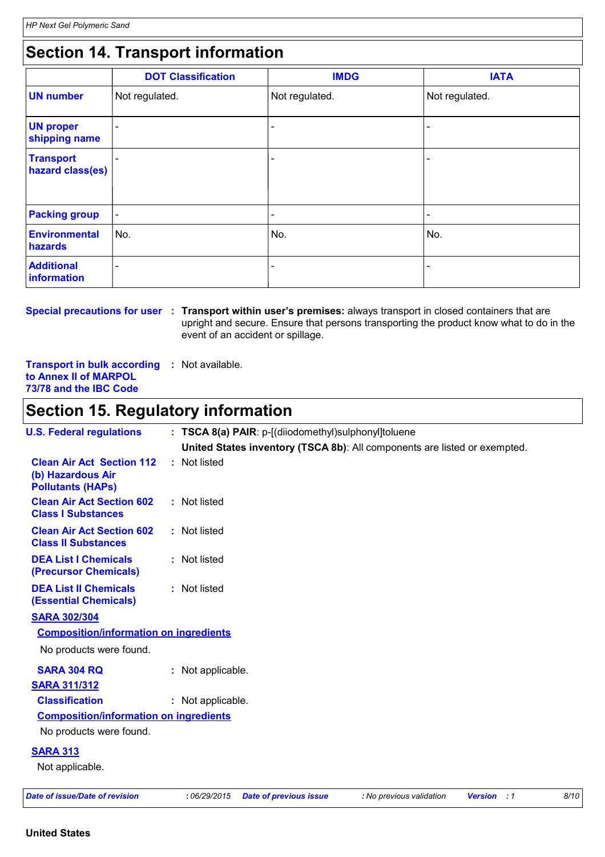### **Section 14. Transport information**

|                                      | <b>DOT Classification</b> | <b>IMDG</b>              | <b>IATA</b>              |
|--------------------------------------|---------------------------|--------------------------|--------------------------|
| <b>UN number</b>                     | Not regulated.            | Not regulated.           | Not regulated.           |
| <b>UN proper</b><br>shipping name    |                           |                          | $\qquad \qquad$          |
| <b>Transport</b><br>hazard class(es) |                           |                          | $\overline{\phantom{0}}$ |
| <b>Packing group</b>                 | $\overline{\phantom{a}}$  | $\overline{\phantom{a}}$ | $\overline{\phantom{a}}$ |
| <b>Environmental</b><br>hazards      | No.                       | No.                      | No.                      |
| <b>Additional</b><br>information     |                           |                          |                          |

**Special precautions for user Transport within user's premises:** always transport in closed containers that are **:** upright and secure. Ensure that persons transporting the product know what to do in the event of an accident or spillage.

**Transport in bulk according :** Not available. **to Annex II of MARPOL 73/78 and the IBC Code**

### **Section 15. Regulatory information**

| <b>U.S. Federal regulations</b>                                                   | : TSCA 8(a) PAIR: p-[(diiodomethyl)sulphonyl]toluene                      |                          |                    |      |
|-----------------------------------------------------------------------------------|---------------------------------------------------------------------------|--------------------------|--------------------|------|
|                                                                                   | United States inventory (TSCA 8b): All components are listed or exempted. |                          |                    |      |
| <b>Clean Air Act Section 112</b><br>(b) Hazardous Air<br><b>Pollutants (HAPs)</b> | : Not listed                                                              |                          |                    |      |
| <b>Clean Air Act Section 602</b><br><b>Class I Substances</b>                     | : Not listed                                                              |                          |                    |      |
| <b>Clean Air Act Section 602</b><br><b>Class II Substances</b>                    | : Not listed                                                              |                          |                    |      |
| <b>DEA List I Chemicals</b><br>(Precursor Chemicals)                              | : Not listed                                                              |                          |                    |      |
| <b>DEA List II Chemicals</b><br><b>(Essential Chemicals)</b>                      | : Not listed                                                              |                          |                    |      |
| <b>SARA 302/304</b>                                                               |                                                                           |                          |                    |      |
| <b>Composition/information on ingredients</b>                                     |                                                                           |                          |                    |      |
| No products were found.                                                           |                                                                           |                          |                    |      |
| <b>SARA 304 RQ</b>                                                                | : Not applicable.                                                         |                          |                    |      |
| <b>SARA 311/312</b>                                                               |                                                                           |                          |                    |      |
| <b>Classification</b>                                                             | : Not applicable.                                                         |                          |                    |      |
| <b>Composition/information on ingredients</b>                                     |                                                                           |                          |                    |      |
| No products were found.                                                           |                                                                           |                          |                    |      |
| <b>SARA 313</b>                                                                   |                                                                           |                          |                    |      |
| Not applicable.                                                                   |                                                                           |                          |                    |      |
| <b>Date of issue/Date of revision</b>                                             | :06/29/2015<br><b>Date of previous issue</b>                              | : No previous validation | <b>Version</b> : 1 | 8/10 |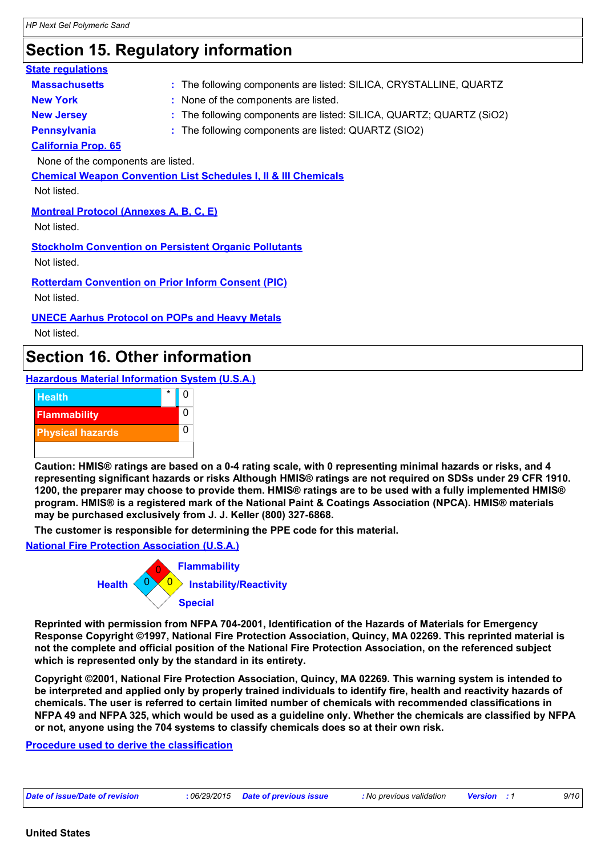| <b>Section 15. Regulatory information</b>     |                                                                            |  |  |  |
|-----------------------------------------------|----------------------------------------------------------------------------|--|--|--|
| <b>State regulations</b>                      |                                                                            |  |  |  |
| <b>Massachusetts</b>                          | : The following components are listed: SILICA, CRYSTALLINE, QUARTZ         |  |  |  |
| <b>New York</b>                               | : None of the components are listed.                                       |  |  |  |
| <b>New Jersey</b>                             | : The following components are listed: SILICA, QUARTZ; QUARTZ (SiO2)       |  |  |  |
| <b>Pennsylvania</b>                           | : The following components are listed: QUARTZ (SIO2)                       |  |  |  |
| <b>California Prop. 65</b>                    |                                                                            |  |  |  |
| None of the components are listed.            |                                                                            |  |  |  |
|                                               | <b>Chemical Weapon Convention List Schedules I, II &amp; III Chemicals</b> |  |  |  |
| Not listed.                                   |                                                                            |  |  |  |
| <b>Montreal Protocol (Annexes A, B, C, E)</b> |                                                                            |  |  |  |
| Not listed.                                   |                                                                            |  |  |  |
|                                               | <b>Stockholm Convention on Persistent Organic Pollutants</b>               |  |  |  |
| Not listed.                                   |                                                                            |  |  |  |
|                                               |                                                                            |  |  |  |
|                                               | <b>Rotterdam Convention on Prior Inform Consent (PIC)</b>                  |  |  |  |
| Not listed.                                   |                                                                            |  |  |  |
|                                               | <b>UNECE Aarhus Protocol on POPs and Heavy Metals</b>                      |  |  |  |

Not listed.

### **Section 16. Other information**

**Hazardous Material Information System (U.S.A.)**



**Caution: HMIS® ratings are based on a 0-4 rating scale, with 0 representing minimal hazards or risks, and 4 representing significant hazards or risks Although HMIS® ratings are not required on SDSs under 29 CFR 1910. 1200, the preparer may choose to provide them. HMIS® ratings are to be used with a fully implemented HMIS® program. HMIS® is a registered mark of the National Paint & Coatings Association (NPCA). HMIS® materials may be purchased exclusively from J. J. Keller (800) 327-6868.**

**The customer is responsible for determining the PPE code for this material.**

**National Fire Protection Association (U.S.A.)**



**Reprinted with permission from NFPA 704-2001, Identification of the Hazards of Materials for Emergency Response Copyright ©1997, National Fire Protection Association, Quincy, MA 02269. This reprinted material is not the complete and official position of the National Fire Protection Association, on the referenced subject which is represented only by the standard in its entirety.**

**Copyright ©2001, National Fire Protection Association, Quincy, MA 02269. This warning system is intended to be interpreted and applied only by properly trained individuals to identify fire, health and reactivity hazards of chemicals. The user is referred to certain limited number of chemicals with recommended classifications in NFPA 49 and NFPA 325, which would be used as a guideline only. Whether the chemicals are classified by NFPA or not, anyone using the 704 systems to classify chemicals does so at their own risk.**

**Procedure used to derive the classification**

| Date of issue/Date of revision | : 06/29/2015 Date of previous issue | : No previous validation | <b>Version</b> | 9/10 |
|--------------------------------|-------------------------------------|--------------------------|----------------|------|
|--------------------------------|-------------------------------------|--------------------------|----------------|------|